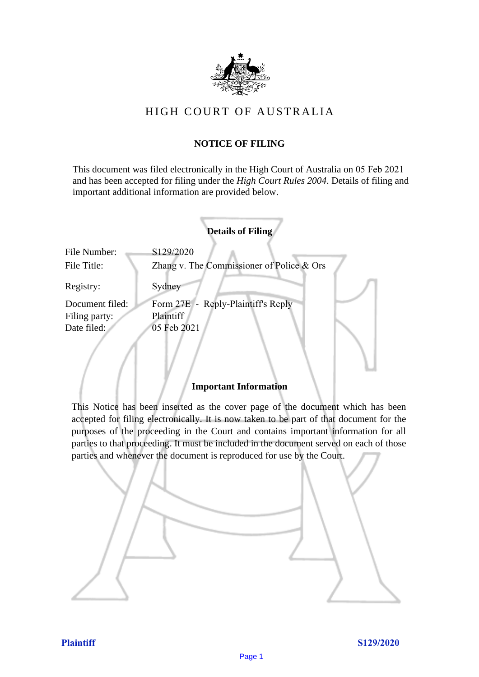

# HIGH COURT OF AU STRALIA HIGH COURT OF AUSTRALIA

## **NOTICE OF FILING** NOTICE OF FILING

This document was filed electronically in the High Court of Australia on 05 Feb 2021 and has been accepted for filing under the *High Court Rules 2004*. Details of filing and important additional information are provided below. important additional information are provided below.

|                             | <b>Details of Filing</b>                               |
|-----------------------------|--------------------------------------------------------|
| File Number:<br>File Title: | S129/2020<br>Zhang v. The Commissioner of Police & Ors |
| Registry:                   | Sydney                                                 |
| Document filed:             | Form 27E - Reply-Plaintiff's Reply                     |
| Filing party:               | Plaintiff                                              |
| Date filed:                 | 05 Feb 2021                                            |
|                             |                                                        |

## **Important Information** Important Information

This Notice has been inserted as the cover page of the document which has been accepted for filing electronically. It is now taken to be part of that document for the purposes of the proceeding in the Court and contains important information for all parties to that proceeding. It must be included in the document served on each of those parties and whenever the document is reproduced for use by the Court. parties and whenever the document is reproduced for use by the Court

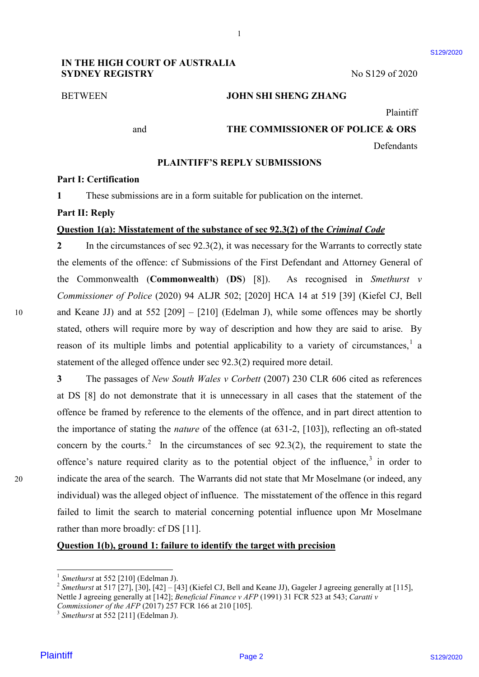### BETWEEN **JOHN SHI SHENG ZHANG** BETWEEN JOHN SHI SHENG ZHANG

Plaintiff Plaintiff

\$129/2020

and **THE COMMISSIONER OF POLICE & ORS** and THE COMMISSIONER OF POLICE & ORS

Defendants Defendants

### **PLAINTIFF'S REPLY SUBMISSIONS** PLAINTIFF'S REPLY SUBMISSIONS

1

#### **Part I: Certification** Part I: Certification

**1** These submissions are in a form suitable for publication on the internet. <sup>1</sup> These submissions are in a form suitable for publication on the internet.

## **Part II: Reply** Part II: Reply

#### **Question 1(a): Misstatement of the substance of sec 92.3(2) of the** *Criminal Code* Question 1(a): Misstatement of the substance of sec 92.3(2) of the Criminal Code

2 In the circumstances of sec 92.3(2), it was necessary for the Warrants to correctly state the elements of the offence: cf Submissions of the First Defendant and Attorney General of the elements of the offence: cf Submissions of the First Defendant and Attorney General of the Commonwealth (**Commonwealth**) (**DS**) [8]). As recognised in *Smethurst v*  the Commonwealth (Commonwealth) (DS) [8]). As recognised in Smethurst v Commissioner of Police (2020) 94 ALJR 502; [2020] HCA 14 at 519 [39] (Kiefel CJ, Bell 10 and Keane JJ) and at 552 [209] – [210] (Edelman J), while some offences may be shortly stated, others will require more by way of description and how they are said to arise. By stated, others will require more by way of description and how they are said to arise. By reason of its multiple limbs and potential applicability to a variety of circumstances,<sup>1</sup> a statement of the alleged offence under sec 92.3(2) required more detail. statement of the alleged offence under sec 92.3(2) required more detail.

**3** The passages of *New South Wales v Corbett* (2007) 230 CLR 606 cited as references 3 The passages of New South Wales v Corbett (2007) 230 CLR 606 cited as references at DS [8] do not demonstrate that it is unnecessary in all cases that the statement of the at DS [8] do not demonstrate that it is unnecessary in all cases that the statement of the offence be framed by reference to the elements of the offence, and in part direct attention to offence be framed by reference to the elements of the offence, and in part direct attention to the importance of stating the *nature* of the offence (at 631-2, [103]), reflecting an oft-stated the importance of stating the nature of the offence (at 631-2, [103]), reflecting an oft-stated concern by the courts.<sup>2</sup> In the circumstances of sec 92.3(2), the requirement to state the offence's nature required clarity as to the potential object of the influence, $3$  in order to 20 indicate the area of the search. The Warrants did not state that Mr Moselmane (or indeed, any indicate the area of the search. The Warrants did not state that Mr Moselmane (or indeed, any individual) was the alleged object of influence. The misstatement of the offence in this regard individual) was the alleged object of influence. The misstatement of the offence in this regard failed to limit the search to material concerning potential influence upon Mr Moselmane failed to limit the search to material concerning potential influence upon Mr Moselmane rather than more broadly: cf DS [11]. **PV THE INCREASE AND MODE TOWALLY PROTABLE ART WELFALLY WE SET SURFACE SURFACES SURFACES SURFACES AND MOUNTIME SURFACE SURFACES PRESENT FOR DESCRIPTION PERCHAMBED PROTABLE THE CONDITIONS PRESENT TO THE CONDITIONS PRESENT** 

### **Question 1(b), ground 1: failure to identify the target with precision**  Question 1(b), ground 1: failure to identify the target with precision

 $\frac{1}{1}$  Smethurst at 552 [210] (Edelman J)

<sup>&</sup>lt;sup>1</sup> *Smethurst* at 552 [210] (Edelman J).<br><sup>2</sup> *Smethurst* at 517 [27], [30], [42] – [43] (Kiefel CJ, Bell and Keane JJ), Gageler J agreeing generally at [115], Nettle J agreeing generally at [142]; *Beneficial Finance v AFP* (1991) 31 FCR 523 at 543; *Caratti v*  <sup>2</sup> Smethurst at 517 [27], [30], [42] – [43] (Kiefel CJ, Bell and Keane JJ), Gageler J agreeing generally at [115] Nettle J agreeing generally at [142]; Beneficial Finance v AFP (1991) 31 FCR 523 at 543; Caratti v

*Commissioner of the AFP* (2017) 257 FCR 166 at 210 [105].<br><sup>3</sup> *Smethurst* at 552 [211] (Edelman J).

 $3$  Smethurst at 552 [211] (Edelman J).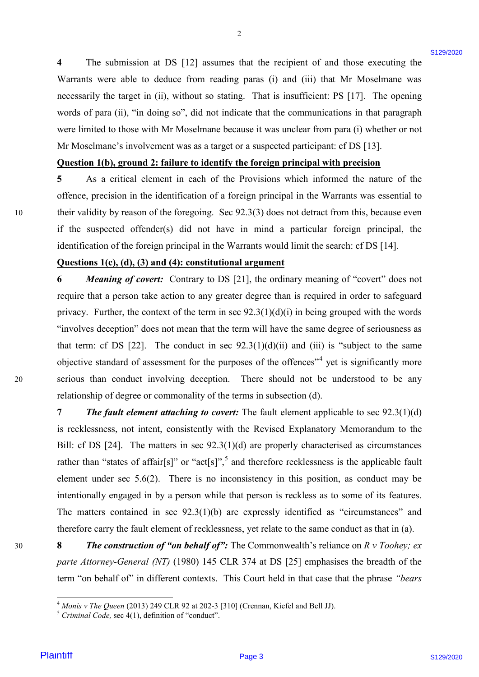**4** The submission at DS [12] assumes that the recipient of and those executing the 4 The submission at DS [12] assumes that the recipient of and those executing the Warrants were able to deduce from reading paras (i) and (iii) that Mr Moselmane was Warrants were able to deduce from reading paras (i) and (iii) that Mr Moselmane was necessarily the target in (ii), without so stating. That is insufficient: PS [17]. The opening words of para (ii), "in doing so", did not indicate that the communications in that paragraph were limited to those with Mr Moselmane because it was unclear from para (i) whether or not were limited to those with Mr Moselmane because it was unclear from para (i) whether or not Mr Moselmane's involvement was as a target or a suspected participant: cf DS [13]. Mr Moselmane's involvement was as a target or <sup>a</sup> suspected participant: cf DS [13].

2

#### Question 1(b), ground 2: failure to identify the foreign principal with precision

5 As a critical element in each of the Provisions which informed the nature of the offence, precision in the identification of a foreign principal in the Warrants was essential to offence, precision in the identification of a foreign principal in the Warrants was essential to 10 their validity by reason of the foregoing. Sec 92.3(3) does not detract from this, because even their validity by reason of the foregoing. Sec 92.3(3) does not detract from this, because even if the suspected offender(s) did not have in mind a particular foreign principal, the if the suspected offender(s) did not have in mind <sup>a</sup> particular foreign principal, the identification of the foreign principal in the Warrants would limit the search: cf DS [14]. identification of the foreign principal in the Warrants would limit the search: cf DS [14].

#### **Questions 1(c), (d), (3) and (4): constitutional argument** Questions 1(c), (d), (3) and (4): constitutional argument

**6 Meaning of covert:** Contrary to DS [21], the ordinary meaning of "covert" does not require that a person take action to any greater degree than is required in order to safeguard privacy. Further, the context of the term in sec 92.3(1)(d)(i) in being grouped with the words privacy. Further, the context of the term in sec 92.3(1)(d)(i) in being grouped with the words "involves deception" does not mean that the term will have the same degree of seriousness as "involves deception" does not mean that the term will have the same degree of seriousness as that term: cf DS  $[22]$ . The conduct in sec  $92.3(1)(d)(ii)$  and  $(iii)$  is "subject to the same objective standard of assessment for the purposes of the offences<sup>"4</sup> yet is significantly more 20 serious than conduct involving deception. There should not be understood to be any serious than conduct involving deception. There should not be understood to be any relationship of degree or commonality of the terms in subsection (d). relationship of degree or commonality of the terms in subsection (d).

**7** *The fault element attaching to covert:* The fault element applicable to sec 92.3(1)(d) 7 The fault element attaching to covert: The fault element applicable to sec 92.3(1)(d) is recklessness, not intent, consistently with the Revised Explanatory Memorandum to the is recklessness, not intent, consistently with the Revised Explanatory Memorandum to the Bill: cf DS [24]. The matters in sec 92.3(1)(d) are properly characterised as circumstances Bill: cf DS [24]. The matters in sec 92.3(1)(d) are properly characterised as circumstances rather than "states of affair[s]" or "act[s]",<sup>5</sup> and therefore recklessness is the applicable fault element under sec  $5.6(2)$ . There is no inconsistency in this position, as conduct may be intentionally engaged in by a person while that person is reckless as to some of its features. intentionally engaged in by <sup>a</sup> person while that person is reckless as to some of its features. The matters contained in sec 92.3(1)(b) are expressly identified as "circumstances" and The matters contained in sec 92.3(1)(b) are expressly identified as "circumstances" and therefore carry the fault element of recklessness, yet relate to the same conduct as that in (a). therefore carry the fault element of recklessness, yet relate to the same conduct as that in (a). **4** The subvision at DS [12] assumes that the necipient of and those executing the subverse side to detect from resident parts (0) and (ii) that if Mosebare was a measure we able to detect from resident parts (0) and (ii)

30 **8** *The construction of "on behalf of":* The Commonwealth's reliance on *R v Toohey; ex*  <sup>8</sup> The construction of "on behalfof": The Commonwealth's reliance on <sup>R</sup> <sup>v</sup> Toohey; exparte Attorney-General (NT) (1980) 145 CLR 374 at DS [25] emphasises the breadth of the term "on behalf of" in different contexts. This Court held in that case that the phrase "bears"

30

<sup>&</sup>lt;sup>4</sup> *Monis v The Queen* (2013) 249 CLR 92 at 202-3 [310] (Crennan, Kiefel and Bell JJ).<br><sup>5</sup> *Criminal Code, s*ec 4(1), definition of "conduct". <sup>4</sup> Monis v The Queen (2013) 249 CLR 92 at 202-3 [310] (Crennan, Kiefel and Bell JJ)

 $<sup>5</sup> Criminal Code, sec 4(1), definition of "conduct"$ </sup>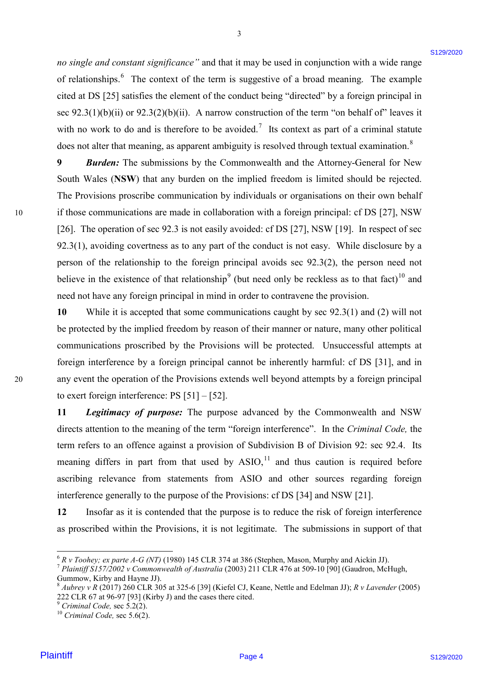no single and constant significance" and that it may be used in conjunction with a wide range of relationships.<sup>6</sup> The context of the term is suggestive of a broad meaning. The example cited at DS [25] satisfies the element of the conduct being "directed" by a foreign principal in cited at DS [25] satisfies the element of the conduct being "directed" by <sup>a</sup> foreign principal in sec  $92.3(1)(b)(ii)$  or  $92.3(2)(b)(ii)$ . A narrow construction of the term "on behalf of" leaves it with no work to do and is therefore to be avoided.<sup>7</sup> Its context as part of a criminal statute does not alter that meaning, as apparent ambiguity is resolved through textual examination.<sup>8</sup>

3

**9 Burden:** The submissions by the Commonwealth and the Attorney-General for New South Wales (**NSW**) that any burden on the implied freedom is limited should be rejected. South Wales (NSW) that any burden on the implied freedom is limited should be rejected. The Provisions proscribe communication by individuals or organisations on their own behalf The Provisions proscribe communication by individuals or organisations on their own behalf 10 if those communications are made in collaboration with a foreign principal: cf DS [27], NSW [26]. The operation of sec 92.3 is not easily avoided: cf DS [27], NSW [19]. In respect of sec [26]. The operation of sec 92.3 is not easily avoided: cf DS [27], NSW [19]. In respect of sec 92.3(1), avoiding covertness as to any part of the conduct is not easy. While disclosure by a 92.3(1), avoiding covertness as to any part of the conduct is not easy. While disclosure by a person of the relationship to the foreign principal avoids sec 92.3(2), the person need not believe in the existence of that relationship<sup>9</sup> (but need only be reckless as to that fact)<sup>10</sup> and need not have any foreign principal in mind in order to contravene the provision. need not have any foreign principal in mind in order to contravene the provision. an single and consists significance" and that it may be used in anniportion with a side target<br>of reductionships." Due consists a profile of the best had to the best of the distribution of the computer of the consistent o

10 While it is accepted that some communications caught by sec 92.3(1) and (2) will not be protected by the implied freedom by reason of their manner or nature, many other political be protected by the implied freedom by reason of their manner or nature, many other political communications proscribed by the Provisions will be protected. Unsuccessful attempts at communications proscribed by the Provisions will be protected. Unsuccessful attempts at foreign interference by a foreign principal cannot be inherently harmful: cf DS [31], and in foreign interference by a foreign principal cannot be inherently harmful: cf DS [31], and in 20 any event the operation of the Provisions extends well beyond attempts by a foreign principal any event the operation of the Provisions extends well beyond attempts by <sup>a</sup> foreign principal to exert foreign interference: PS [51] – [52]. to exert foreign interference: PS [51] — [52].

> **11** *Legitimacy of purpose:* The purpose advanced by the Commonwealth and NSW <sup>11</sup> Legitimacy of purpose: The purpose advanced by the Commonwealth and NSW directs attention to the meaning of the term "foreign interference". In the *Criminal Code,* the directs attention to the meaning of the term "foreign interference". In the Criminal Code, the term refers to an offence against a provision of Subdivision B of Division 92: sec 92.4. Its term refers to an offence against a provision of Subdivision B of Division 92: sec 92.4. Its meaning differs in part from that used by  $ASIO$ ,<sup>11</sup> and thus caution is required before ascribing relevance from statements from ASIO and other sources regarding foreign ascribing relevance from statements from ASIO and other sources regarding foreign interference generally to the purpose of the Provisions: cf DS [34] and NSW [21]. interference generally to the purpose of the Provisions: cf DS [34] and NSW [21].

> 12 Insofar as it is contended that the purpose is to reduce the risk of foreign interference as proscribed within the Provisions, it is not legitimate. The submissions in support of that as proscribed within the Provisions, it is not legitimate. The submissions in support of that

20

 $6$  R v Toohey; ex parte A-G (NT) (1980) 145 CLR 374 at 386 (Stephen, Mason, Murphy and Aickin JJ).

<sup>-&</sup>lt;br><sup>6</sup> R v Toohey; ex parte A-G (NT) (1980) 145 CLR 374 at 386 (Stephen, Mason, Murphy and Aickin JJ).<br><sup>7</sup> Plaintiff S157/2002 v Commonwealth of Australia (2003) 211 CLR 476 at 509-10 [90] (Gaudron, McHugh, Gummow, Kirby and Hayne JJ).<br><sup>8</sup> Aubrey v R (2017) 260 CLR 305 at 325-6 [39] (Kiefel CJ, Keane, Nettle and Edelman JJ); *R v Lavender* (2005) Gummow, Kirby and Hayne JJ).

<sup>222</sup> CLR 67 at 96-97 [93] (Kirby J) and the cases there cited.<br><sup>9</sup> *Criminal Code*, sec 5.2(2).<br><sup>10</sup> *Criminal Code*, sec 5.6(2).

 $<sup>9</sup> Criminal Code, sec 5.2(2).$ </sup>

 $^{10}$  Criminal Code, sec 5.6(2).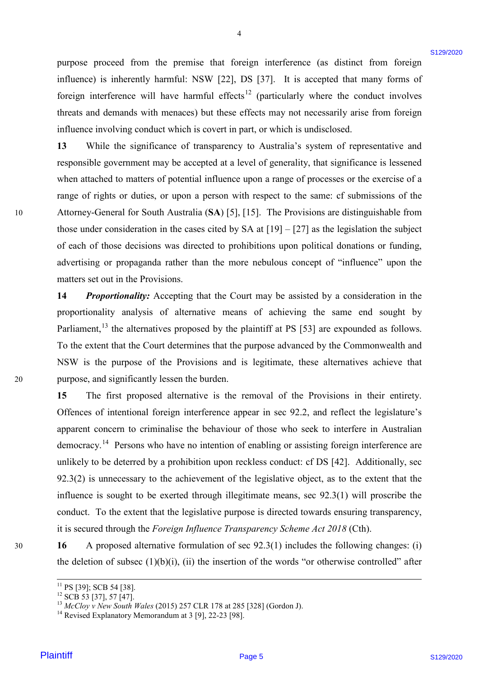purpose proceed from the premise that foreign interference (as distinct from foreign purpose proceed from the premise that foreign interference (as distinct from foreign influence) is inherently harmful: NSW [22], DS [37]. It is accepted that many forms of influence) is inherently harmful: NSW [22], DS [37]. It is accepted that many forms of foreign interference will have harmful effects<sup>12</sup> (particularly where the conduct involves threats and demands with menaces) but these effects may not necessarily arise from foreign threats and demands with menaces) but these effects may not necessarily arise from foreign influence involving conduct which is covert in part, or which is undisclosed. influence involving conduct which is covert in part, or which is undisclosed.

4

**13** While the significance of transparency to Australia's system of representative and 13 While the significance of transparency to Australia's system of representative and responsible government may be accepted at a level of generality, that significance is lessened responsible government may be accepted at <sup>a</sup> level of generality, that significance is lessened when attached to matters of potential influence upon a range of processes or the exercise of a when attached to matters of potential influence upon <sup>a</sup> range of processes or the exercise of <sup>a</sup> range of rights or duties, or upon a person with respect to the same: cf submissions of the 10 Attorney-General for South Australia (**SA**) [5], [15]. The Provisions are distinguishable from Attorney-General for South Australia (SA) [5], [15]. The Provisions are distinguishable from those under consideration in the cases cited by SA at  $[19] - [27]$  as the legislation the subject of each of those decisions was directed to prohibitions upon political donations or funding, of each of those decisions was directed to prohibitions upon political donations or funding, advertising or propaganda rather than the more nebulous concept of "influence" upon the advertising or propaganda rather than the more nebulous concept of "influence" upon the matters set out in the Provisions. matters set out in the Provisions.

14 Proportionality: Accepting that the Court may be assisted by a consideration in the proportionality analysis of alternative means of achieving the same end sought by proportionality analysis of alternative means of achieving the same end sought by Parliament,<sup>13</sup> the alternatives proposed by the plaintiff at PS [53] are expounded as follows. To the extent that the Court determines that the purpose advanced by the Commonwealth and To the extent that the Court determines that the purpose advanced by the Commonwealth and NSW is the purpose of the Provisions and is legitimate, these alternatives achieve that NSW is the purpose of the Provisions and is legitimate, these alternatives achieve that 20 purpose, and significantly lessen the burden. purpose, and significantly lessen the burden.

**15** The first proposed alternative is the removal of the Provisions in their entirety. 15 The first proposed alternative is the removal of the Provisions in their entirety. Offences of intentional foreign interference appear in sec 92.2, and reflect the legislature's Offences of intentional foreign interference appear in sec 92.2, and reflect the legislature's apparent concern to criminalise the behaviour of those who seek to interfere in Australian apparent concern to criminalise the behaviour of those who seek to interfere in Australian democracy.<sup>14</sup> Persons who have no intention of enabling or assisting foreign interference are unlikely to be deterred by a prohibition upon reckless conduct: cf DS [42]. Additionally, sec unlikely to be deterred by <sup>a</sup> prohibition upon reckless conduct: cf DS [42]. Additionally, sec 92.3(2) is unnecessary to the achievement of the legislative object, as to the extent that the 92.3(2) is unnecessary to the achievement of the legislative object, as to the extent that the influence is sought to be exerted through illegitimate means, sec 92.3(1) will proscribe the influence is sought to be exerted through illegitimate means, sec 92.3(1) will proscribe the conduct. To the extent that the legislative purpose is directed towards ensuring transparency, conduct. To the extent that the legislative purpose is directed towards ensuring transparency, it is secured through the *Foreign Influence Transparency Scheme Act 2018* (Cth). it is secured through the Foreign Influence Transparency Scheme Act 2018 (Cth). purpose proceed from the previous that foreign interferome (as distinct from foreign the<br>structure of the best strength harmonic ENN (22). DB (22) (21) it is needped that many forms<br>in the strength and demonstration of th

30 **16** A proposed alternative formulation of sec 92.3(1) includes the following changes: (i) the deletion of subsec  $(1)(b)(i)$ ,  $(ii)$  the insertion of the words "or otherwise controlled" after

20

<sup>&#</sup>x27;' PS [39]; SCB 54 [38].

 $^{12}$  SCB 53 [37], 57 [47].

<sup>&</sup>lt;sup>11</sup> PS [39]; SCB 54 [38].<br><sup>12</sup> SCB 53 [37], 57 [47].<br><sup>13</sup> *McCloy v New South Wales* (2015) 257 CLR 178 at 285 [328] (Gordon J).<br><sup>14</sup> Revised Explanatory Memorandum at 3 [9], 22-23 [98].  $^{13}$  McCloy v New South Wales (2015) 257 CLR 178 at 285 [328] (Gordon J).

<sup>&</sup>lt;sup>14</sup> Revised Explanatory Memorandum at 3 [9], 22-23 [98].